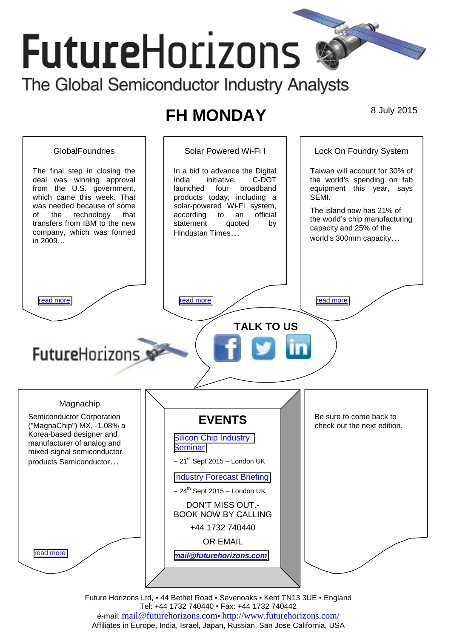# **Future**Horizons The Global Semiconductor Industry Analysts

# **FH MONDAY** 8 July 2015



Future Horizons Ltd, • 44 Bethel Road • Sevenoaks • Kent TN13 3UE • England Tel: +44 1732 740440 • Fax: +44 1732 740442 e-mail: mail@futurehorizons.com• http://www.futurehorizons.com/ Affiliates in Europe, India, Israel, Japan, Russian, San Jose California, USA